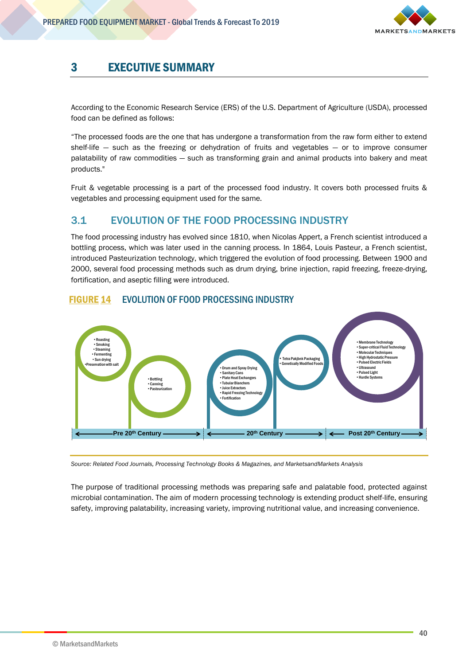

# 3 EXECUTIVE SUMMARY

According to the Economic Research Service (ERS) of the U.S. Department of Agriculture (USDA), processed food can be defined as follows:

"The processed foods are the one that has undergone a transformation from the raw form either to extend shelf-life — such as the freezing or dehydration of fruits and vegetables — or to improve consumer palatability of raw commodities — such as transforming grain and animal products into bakery and meat products."

Fruit & vegetable processing is a part of the processed food industry. It covers both processed fruits & vegetables and processing equipment used for the same.

#### 3.1 EVOLUTION OF THE FOOD PROCESSING INDUSTRY

The food processing industry has evolved since 1810, when Nicolas Appert, a French scientist introduced a bottling process, which was later used in the canning process. In 1864, Louis Pasteur, a French scientist, introduced Pasteurization technology, which triggered the evolution of food processing. Between 1900 and 2000, several food processing methods such as drum drying, brine injection, rapid freezing, freeze-drying, fortification, and aseptic filling were introduced.



#### FIGURE 14 EVOLUTION OF FOOD PROCESSING INDUSTRY

*Source: Related Food Journals, Processing Technology Books & Magazines, and MarketsandMarkets Analysis*

The purpose of traditional processing methods was preparing safe and palatable food, protected against microbial contamination. The aim of modern processing technology is extending product shelf-life, ensuring safety, improving palatability, increasing variety, improving nutritional value, and increasing convenience.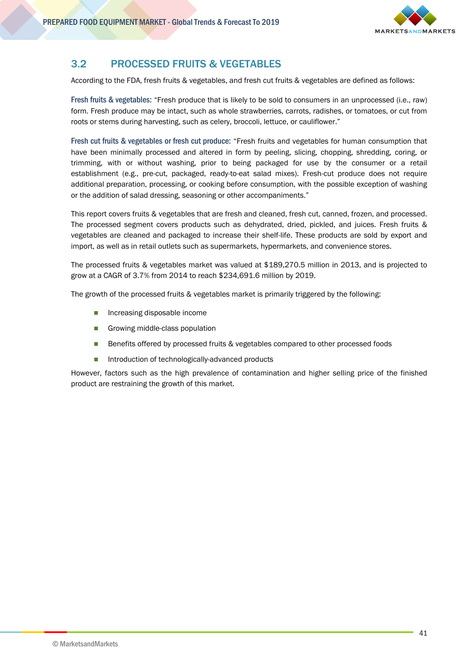

## 3.2 PROCESSED FRUITS & VEGETABLES

According to the FDA, fresh fruits & vegetables, and fresh cut fruits & vegetables are defined as follows:

Fresh fruits & vegetables: "Fresh produce that is likely to be sold to consumers in an unprocessed (i.e., raw) form. Fresh produce may be intact, such as whole strawberries, carrots, radishes, or tomatoes, or cut from roots or stems during harvesting, such as celery, broccoli, lettuce, or cauliflower."

Fresh cut fruits & vegetables or fresh cut produce: "Fresh fruits and vegetables for human consumption that have been minimally processed and altered in form by peeling, slicing, chopping, shredding, coring, or trimming, with or without washing, prior to being packaged for use by the consumer or a retail establishment (e.g., pre-cut, packaged, ready-to-eat salad mixes). Fresh-cut produce does not require additional preparation, processing, or cooking before consumption, with the possible exception of washing or the addition of salad dressing, seasoning or other accompaniments."

This report covers fruits & vegetables that are fresh and cleaned, fresh cut, canned, frozen, and processed. The processed segment covers products such as dehydrated, dried, pickled, and juices. Fresh fruits & vegetables are cleaned and packaged to increase their shelf-life. These products are sold by export and import, as well as in retail outlets such as supermarkets, hypermarkets, and convenience stores.

The processed fruits & vegetables market was valued at \$189,270.5 million in 2013, and is projected to grow at a CAGR of 3.7% from 2014 to reach \$234,691.6 million by 2019.

The growth of the processed fruits & vegetables market is primarily triggered by the following:

- **Increasing disposable income**
- Growing middle-class population
- **Benefits offered by processed fruits & vegetables compared to other processed foods**
- Introduction of technologically-advanced products

However, factors such as the high prevalence of contamination and higher selling price of the finished product are restraining the growth of this market.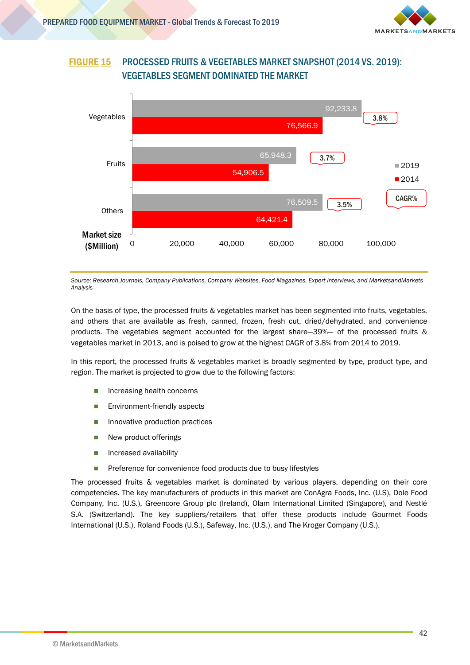

#### FIGURE 15 PROCESSED FRUITS & VEGETABLES MARKET SNAPSHOT (2014 VS. 2019): VEGETABLES SEGMENT DOMINATED THE MARKET



*Source: Research Journals, Company Publications, Company Websites, Food Magazines, Expert Interviews, and MarketsandMarkets Analysis*

On the basis of type, the processed fruits & vegetables market has been segmented into fruits, vegetables, and others that are available as fresh, canned, frozen, fresh cut, dried/dehydrated, and convenience products. The vegetables segment accounted for the largest share—39%— of the processed fruits & vegetables market in 2013, and is poised to grow at the highest CAGR of 3.8% from 2014 to 2019.

In this report, the processed fruits & vegetables market is broadly segmented by type, product type, and region. The market is projected to grow due to the following factors:

- **Increasing health concerns**
- **Environment-friendly aspects**
- **Innovative production practices**
- New product offerings
- **n** Increased availability
- **Preference for convenience food products due to busy lifestyles**

The processed fruits & vegetables market is dominated by various players, depending on their core competencies. The key manufacturers of products in this market are ConAgra Foods, Inc. (U.S), Dole Food Company, Inc. (U.S.), Greencore Group plc (Ireland), Olam International Limited (Singapore), and Nestlé S.A. (Switzerland). The key suppliers/retailers that offer these products include Gourmet Foods International (U.S.), Roland Foods (U.S.), Safeway, Inc. (U.S.), and The Kroger Company (U.S.).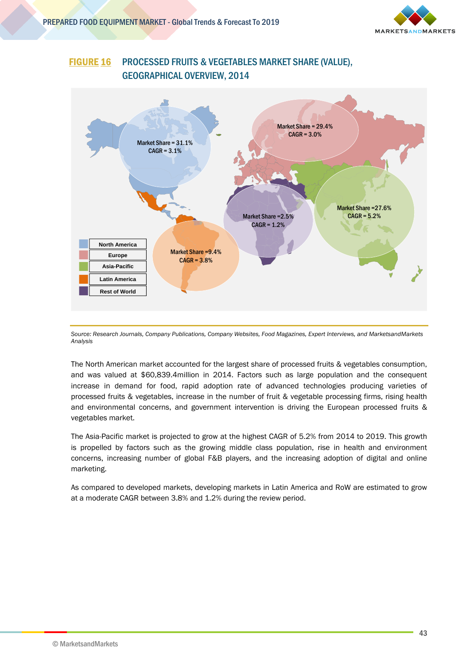

### FIGURE 16 PROCESSED FRUITS & VEGETABLES MARKET SHARE (VALUE), GEOGRAPHICAL OVERVIEW, 2014



*Source: Research Journals, Company Publications, Company Websites, Food Magazines, Expert Interviews, and MarketsandMarkets Analysis*

The North American market accounted for the largest share of processed fruits & vegetables consumption, and was valued at \$60,839.4million in 2014. Factors such as large population and the consequent increase in demand for food, rapid adoption rate of advanced technologies producing varieties of processed fruits & vegetables, increase in the number of fruit & vegetable processing firms, rising health and environmental concerns, and government intervention is driving the European processed fruits & vegetables market.

The Asia-Pacific market is projected to grow at the highest CAGR of 5.2% from 2014 to 2019. This growth is propelled by factors such as the growing middle class population, rise in health and environment concerns, increasing number of global F&B players, and the increasing adoption of digital and online marketing.

As compared to developed markets, developing markets in Latin America and RoW are estimated to grow at a moderate CAGR between 3.8% and 1.2% during the review period.